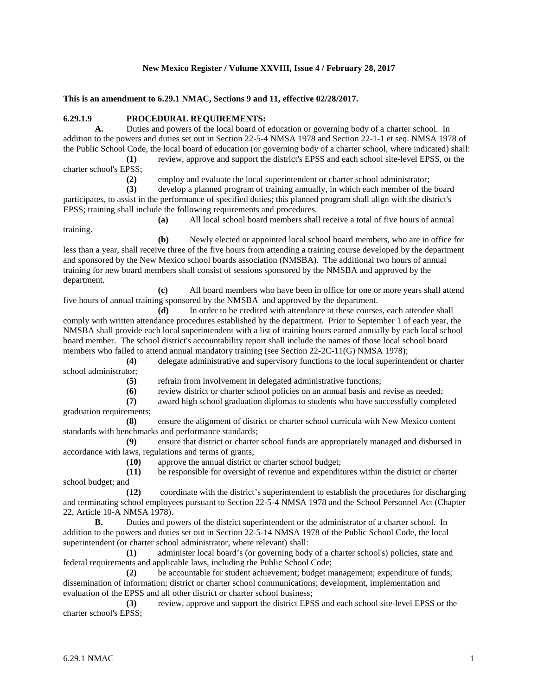### **New Mexico Register / Volume XXVIII, Issue 4 / February 28, 2017**

#### **This is an amendment to 6.29.1 NMAC, Sections 9 and 11, effective 02/28/2017.**

#### **6.29.1.9 PROCEDURAL REQUIREMENTS:**

**A.** Duties and powers of the local board of education or governing body of a charter school. In addition to the powers and duties set out in Section 22-5-4 NMSA 1978 and Section 22-1-1 et seq. NMSA 1978 of the Public School Code, the local board of education (or governing body of a charter school, where indicated) shall:

**(1)** review, approve and support the district's EPSS and each school site-level EPSS, or the charter school's EPSS;

**(2)** employ and evaluate the local superintendent or charter school administrator;

**(3)** develop a planned program of training annually, in which each member of the board participates, to assist in the performance of specified duties; this planned program shall align with the district's EPSS; training shall include the following requirements and procedures.

**(a)** All local school board members shall receive a total of five hours of annual

**(b)** Newly elected or appointed local school board members, who are in office for less than a year, shall receive three of the five hours from attending a training course developed by the department and sponsored by the New Mexico school boards association (NMSBA). The additional two hours of annual training for new board members shall consist of sessions sponsored by the NMSBA and approved by the department.

**(c)** All board members who have been in office for one or more years shall attend five hours of annual training sponsored by the NMSBA and approved by the department.

**(d)** In order to be credited with attendance at these courses, each attendee shall comply with written attendance procedures established by the department. Prior to September 1 of each year, the NMSBA shall provide each local superintendent with a list of training hours earned annually by each local school board member. The school district's accountability report shall include the names of those local school board members who failed to attend annual mandatory training (see Section 22-2C-11(G) NMSA 1978);

**(4)** delegate administrative and supervisory functions to the local superintendent or charter school administrator;

**(5)** refrain from involvement in delegated administrative functions;

**(6)** review district or charter school policies on an annual basis and revise as needed;

**(7)** award high school graduation diplomas to students who have successfully completed graduation requirements;

**(8)** ensure the alignment of district or charter school curricula with New Mexico content standards with benchmarks and performance standards;

**(9)** ensure that district or charter school funds are appropriately managed and disbursed in accordance with laws, regulations and terms of grants;

**(10)** approve the annual district or charter school budget;

**(11)** be responsible for oversight of revenue and expenditures within the district or charter school budget; and

**(12)** coordinate with the district's superintendent to establish the procedures for discharging and terminating school employees pursuant to Section 22-5-4 NMSA 1978 and the School Personnel Act (Chapter 22, Article 10-A NMSA 1978).

**B.** Duties and powers of the district superintendent or the administrator of a charter school. In addition to the powers and duties set out in Section 22-5-14 NMSA 1978 of the Public School Code, the local superintendent (or charter school administrator, where relevant) shall:

**(1)** administer local board's (or governing body of a charter school's) policies, state and federal requirements and applicable laws, including the Public School Code;

**(2)** be accountable for student achievement; budget management; expenditure of funds; dissemination of information; district or charter school communications; development, implementation and evaluation of the EPSS and all other district or charter school business;

**(3)** review, approve and support the district EPSS and each school site-level EPSS or the charter school's EPSS;

training.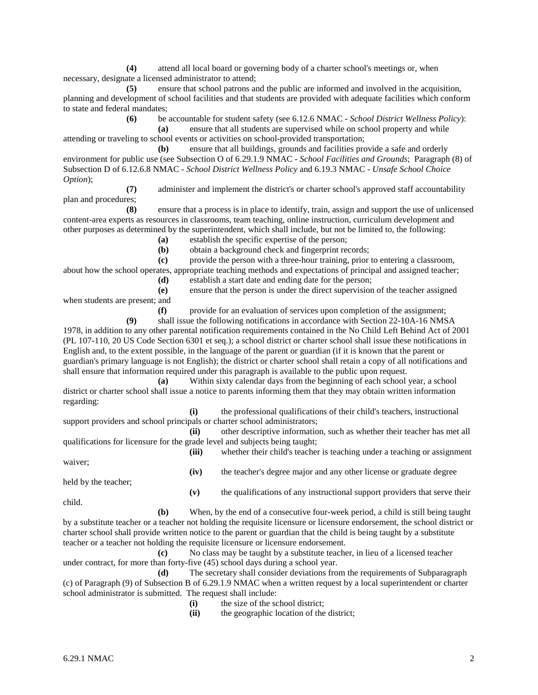**(4)** attend all local board or governing body of a charter school's meetings or, when necessary, designate a licensed administrator to attend;

**(5)** ensure that school patrons and the public are informed and involved in the acquisition, planning and development of school facilities and that students are provided with adequate facilities which conform to state and federal mandates;

**(6)** be accountable for student safety (see 6.12.6 NMAC - *School District Wellness Policy*):

**(a)** ensure that all students are supervised while on school property and while attending or traveling to school events or activities on school-provided transportation;

**(b)** ensure that all buildings, grounds and facilities provide a safe and orderly environment for public use (see Subsection O of 6.29.1.9 NMAC - *School Facilities and Grounds*; Paragraph (8) of Subsection D of 6.12.6.8 NMAC - *School District Wellness Policy* and 6.19.3 NMAC - *Unsafe School Choice Option*);

**(7)** administer and implement the district's or charter school's approved staff accountability plan and procedures;

**(8)** ensure that a process is in place to identify, train, assign and support the use of unlicensed content-area experts as resources in classrooms, team teaching, online instruction, curriculum development and other purposes as determined by the superintendent, which shall include, but not be limited to, the following:

**(a)** establish the specific expertise of the person;

**(b)** obtain a background check and fingerprint records;

**(c)** provide the person with a three-hour training, prior to entering a classroom, about how the school operates, appropriate teaching methods and expectations of principal and assigned teacher;

**(d)** establish a start date and ending date for the person;

**(e)** ensure that the person is under the direct supervision of the teacher assigned when students are present; and

**(f)** provide for an evaluation of services upon completion of the assignment;

**(9)** shall issue the following notifications in accordance with Section 22-10A-16 NMSA 1978, in addition to any other parental notification requirements contained in the No Child Left Behind Act of 2001 (PL 107-110, 20 US Code Section 6301 et seq.); a school district or charter school shall issue these notifications in English and, to the extent possible, in the language of the parent or guardian (if it is known that the parent or guardian's primary language is not English); the district or charter school shall retain a copy of all notifications and shall ensure that information required under this paragraph is available to the public upon request.

**(a)** Within sixty calendar days from the beginning of each school year, a school district or charter school shall issue a notice to parents informing them that they may obtain written information regarding:

**(i)** the professional qualifications of their child's teachers, instructional support providers and school principals or charter school administrators;

**(ii)** other descriptive information, such as whether their teacher has met all qualifications for licensure for the grade level and subjects being taught;

**(iii)** whether their child's teacher is teaching under a teaching or assignment waiver; **(iv)** the teacher's degree major and any other license or graduate degree held by the teacher; **(v)** the qualifications of any instructional support providers that serve their

child.

**(b)** When, by the end of a consecutive four-week period, a child is still being taught by a substitute teacher or a teacher not holding the requisite licensure or licensure endorsement, the school district or charter school shall provide written notice to the parent or guardian that the child is being taught by a substitute teacher or a teacher not holding the requisite licensure or licensure endorsement.

**(c)** No class may be taught by a substitute teacher, in lieu of a licensed teacher under contract, for more than forty-five (45) school days during a school year.

**(d)** The secretary shall consider deviations from the requirements of Subparagraph (c) of Paragraph (9) of Subsection B of 6.29.1.9 NMAC when a written request by a local superintendent or charter school administrator is submitted. The request shall include:

- **(i)** the size of the school district;
- **(ii)** the geographic location of the district;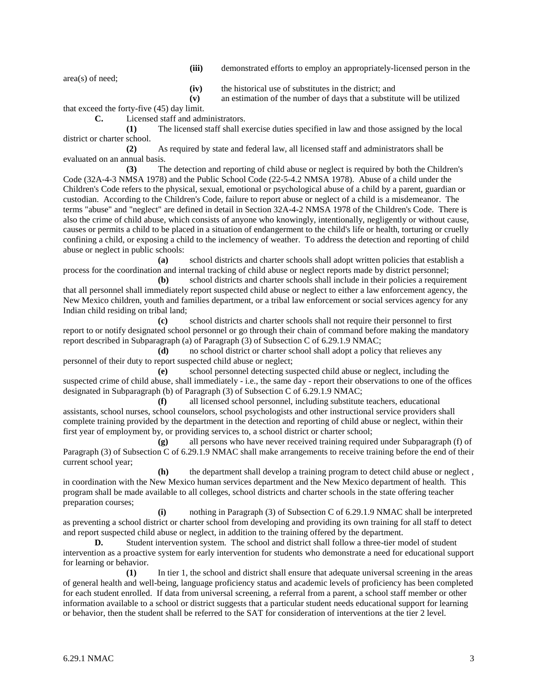**(iii)** demonstrated efforts to employ an appropriately-licensed person in the

area(s) of need;

**(iv)** the historical use of substitutes in the district; and

**(v)** an estimation of the number of days that a substitute will be utilized

that exceed the forty-five (45) day limit.

**C.** Licensed staff and administrators.

**(1)** The licensed staff shall exercise duties specified in law and those assigned by the local district or charter school.

**(2)** As required by state and federal law, all licensed staff and administrators shall be evaluated on an annual basis.

**(3)** The detection and reporting of child abuse or neglect is required by both the Children's Code (32A-4-3 NMSA 1978) and the Public School Code (22-5-4.2 NMSA 1978). Abuse of a child under the Children's Code refers to the physical, sexual, emotional or psychological abuse of a child by a parent, guardian or custodian. According to the Children's Code, failure to report abuse or neglect of a child is a misdemeanor. The terms "abuse" and "neglect" are defined in detail in Section 32A-4-2 NMSA 1978 of the Children's Code. There is also the crime of child abuse, which consists of anyone who knowingly, intentionally, negligently or without cause, causes or permits a child to be placed in a situation of endangerment to the child's life or health, torturing or cruelly confining a child, or exposing a child to the inclemency of weather. To address the detection and reporting of child abuse or neglect in public schools:

**(a)** school districts and charter schools shall adopt written policies that establish a process for the coordination and internal tracking of child abuse or neglect reports made by district personnel;

**(b)** school districts and charter schools shall include in their policies a requirement that all personnel shall immediately report suspected child abuse or neglect to either a law enforcement agency, the New Mexico children, youth and families department, or a tribal law enforcement or social services agency for any Indian child residing on tribal land;

**(c)** school districts and charter schools shall not require their personnel to first report to or notify designated school personnel or go through their chain of command before making the mandatory report described in Subparagraph (a) of Paragraph (3) of Subsection C of 6.29.1.9 NMAC;

**(d)** no school district or charter school shall adopt a policy that relieves any personnel of their duty to report suspected child abuse or neglect;

**(e)** school personnel detecting suspected child abuse or neglect, including the suspected crime of child abuse, shall immediately - i.e., the same day - report their observations to one of the offices designated in Subparagraph (b) of Paragraph (3) of Subsection C of 6.29.1.9 NMAC;

**(f)** all licensed school personnel, including substitute teachers, educational assistants, school nurses, school counselors, school psychologists and other instructional service providers shall complete training provided by the department in the detection and reporting of child abuse or neglect, within their first year of employment by, or providing services to, a school district or charter school;

**(g)** all persons who have never received training required under Subparagraph (f) of Paragraph (3) of Subsection C of 6.29.1.9 NMAC shall make arrangements to receive training before the end of their current school year;

**(h)** the department shall develop a training program to detect child abuse or neglect , in coordination with the New Mexico human services department and the New Mexico department of health. This program shall be made available to all colleges, school districts and charter schools in the state offering teacher preparation courses;

**(i)** nothing in Paragraph (3) of Subsection C of 6.29.1.9 NMAC shall be interpreted as preventing a school district or charter school from developing and providing its own training for all staff to detect and report suspected child abuse or neglect, in addition to the training offered by the department.

**D.** Student intervention system. The school and district shall follow a three-tier model of student intervention as a proactive system for early intervention for students who demonstrate a need for educational support for learning or behavior.

**(1)** In tier 1, the school and district shall ensure that adequate universal screening in the areas of general health and well-being, language proficiency status and academic levels of proficiency has been completed for each student enrolled. If data from universal screening, a referral from a parent, a school staff member or other information available to a school or district suggests that a particular student needs educational support for learning or behavior, then the student shall be referred to the SAT for consideration of interventions at the tier 2 level.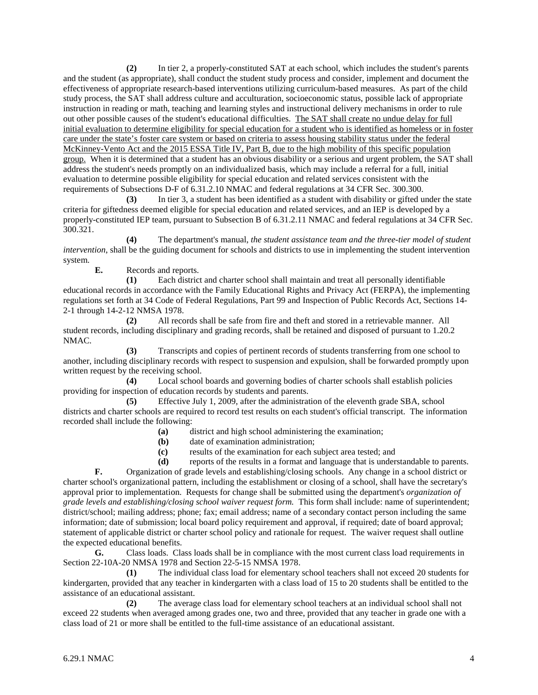**(2)** In tier 2, a properly-constituted SAT at each school, which includes the student's parents and the student (as appropriate), shall conduct the student study process and consider, implement and document the effectiveness of appropriate research-based interventions utilizing curriculum-based measures. As part of the child study process, the SAT shall address culture and acculturation, socioeconomic status, possible lack of appropriate instruction in reading or math, teaching and learning styles and instructional delivery mechanisms in order to rule out other possible causes of the student's educational difficulties. The SAT shall create no undue delay for full initial evaluation to determine eligibility for special education for a student who is identified as homeless or in foster care under the state's foster care system or based on criteria to assess housing stability status under the federal McKinney-Vento Act and the 2015 ESSA Title IV, Part B, due to the high mobility of this specific population group. When it is determined that a student has an obvious disability or a serious and urgent problem, the SAT shall address the student's needs promptly on an individualized basis, which may include a referral for a full, initial evaluation to determine possible eligibility for special education and related services consistent with the requirements of Subsections D-F of 6.31.2.10 NMAC and federal regulations at 34 CFR Sec. 300.300.

**(3)** In tier 3, a student has been identified as a student with disability or gifted under the state criteria for giftedness deemed eligible for special education and related services, and an IEP is developed by a properly-constituted IEP team, pursuant to Subsection B of 6.31.2.11 NMAC and federal regulations at 34 CFR Sec. 300.321.

**(4)** The department's manual, *the student assistance team and the three-tier model of student intervention*, shall be the guiding document for schools and districts to use in implementing the student intervention system.

**E.** Records and reports.

**(1)** Each district and charter school shall maintain and treat all personally identifiable educational records in accordance with the Family Educational Rights and Privacy Act (FERPA), the implementing regulations set forth at 34 Code of Federal Regulations, Part 99 and Inspection of Public Records Act, Sections 14- 2-1 through 14-2-12 NMSA 1978.

**(2)** All records shall be safe from fire and theft and stored in a retrievable manner. All student records, including disciplinary and grading records, shall be retained and disposed of pursuant to 1.20.2 NMAC.

**(3)** Transcripts and copies of pertinent records of students transferring from one school to another, including disciplinary records with respect to suspension and expulsion, shall be forwarded promptly upon written request by the receiving school.<br>(4) Local school

**(4)** Local school boards and governing bodies of charter schools shall establish policies providing for inspection of education records by students and parents.

**(5)** Effective July 1, 2009, after the administration of the eleventh grade SBA, school districts and charter schools are required to record test results on each student's official transcript. The information recorded shall include the following:

- **(a)** district and high school administering the examination;
- **(b)** date of examination administration;
- **(c)** results of the examination for each subject area tested; and
- **(d)** reports of the results in a format and language that is understandable to parents. **F.** Organization of grade levels and establishing/closing schools. Any change in a school district or charter school's organizational pattern, including the establishment or closing of a school, shall have the secretary's approval prior to implementation. Requests for change shall be submitted using the department's *organization of grade levels and establishing/closing school waiver request form.* This form shall include: name of superintendent; district/school; mailing address; phone; fax; email address; name of a secondary contact person including the same information; date of submission; local board policy requirement and approval, if required; date of board approval; statement of applicable district or charter school policy and rationale for request. The waiver request shall outline the expected educational benefits.

**G.** Class loads. Class loads shall be in compliance with the most current class load requirements in Section 22-10A-20 NMSA 1978 and Section 22-5-15 NMSA 1978.

**(1)** The individual class load for elementary school teachers shall not exceed 20 students for kindergarten, provided that any teacher in kindergarten with a class load of 15 to 20 students shall be entitled to the assistance of an educational assistant.

**(2)** The average class load for elementary school teachers at an individual school shall not exceed 22 students when averaged among grades one, two and three, provided that any teacher in grade one with a class load of 21 or more shall be entitled to the full-time assistance of an educational assistant.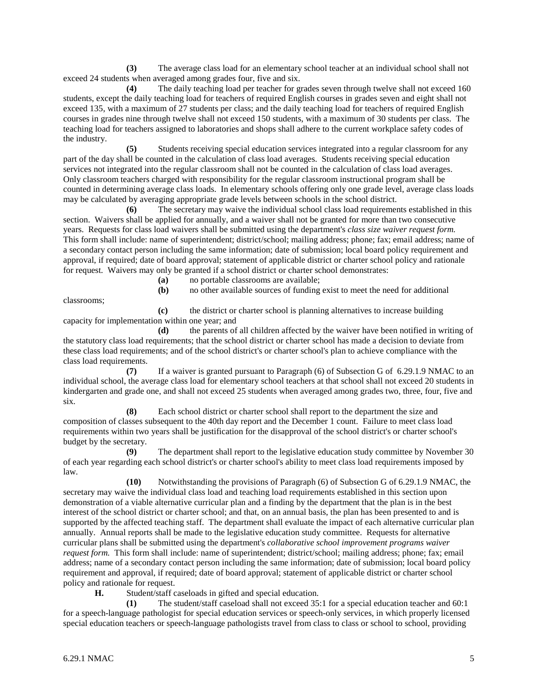**(3)** The average class load for an elementary school teacher at an individual school shall not exceed 24 students when averaged among grades four, five and six.

**(4)** The daily teaching load per teacher for grades seven through twelve shall not exceed 160 students, except the daily teaching load for teachers of required English courses in grades seven and eight shall not exceed 135, with a maximum of 27 students per class; and the daily teaching load for teachers of required English courses in grades nine through twelve shall not exceed 150 students, with a maximum of 30 students per class. The teaching load for teachers assigned to laboratories and shops shall adhere to the current workplace safety codes of the industry.

**(5)** Students receiving special education services integrated into a regular classroom for any part of the day shall be counted in the calculation of class load averages. Students receiving special education services not integrated into the regular classroom shall not be counted in the calculation of class load averages. Only classroom teachers charged with responsibility for the regular classroom instructional program shall be counted in determining average class loads. In elementary schools offering only one grade level, average class loads may be calculated by averaging appropriate grade levels between schools in the school district.

**(6)** The secretary may waive the individual school class load requirements established in this section. Waivers shall be applied for annually, and a waiver shall not be granted for more than two consecutive years. Requests for class load waivers shall be submitted using the department's *class size waiver request form.*  This form shall include: name of superintendent; district/school; mailing address; phone; fax; email address; name of a secondary contact person including the same information; date of submission; local board policy requirement and approval, if required; date of board approval; statement of applicable district or charter school policy and rationale for request. Waivers may only be granted if a school district or charter school demonstrates:

**(a)** no portable classrooms are available;

classrooms;

**(b)** no other available sources of funding exist to meet the need for additional

**(c)** the district or charter school is planning alternatives to increase building capacity for implementation within one year; and

**(d)** the parents of all children affected by the waiver have been notified in writing of the statutory class load requirements; that the school district or charter school has made a decision to deviate from these class load requirements; and of the school district's or charter school's plan to achieve compliance with the class load requirements.

**(7)** If a waiver is granted pursuant to Paragraph (6) of Subsection G of 6.29.1.9 NMAC to an individual school, the average class load for elementary school teachers at that school shall not exceed 20 students in kindergarten and grade one, and shall not exceed 25 students when averaged among grades two, three, four, five and six.

**(8)** Each school district or charter school shall report to the department the size and composition of classes subsequent to the 40th day report and the December 1 count. Failure to meet class load requirements within two years shall be justification for the disapproval of the school district's or charter school's budget by the secretary.

**(9)** The department shall report to the legislative education study committee by November 30 of each year regarding each school district's or charter school's ability to meet class load requirements imposed by law.

**(10)** Notwithstanding the provisions of Paragraph (6) of Subsection G of 6.29.1.9 NMAC, the secretary may waive the individual class load and teaching load requirements established in this section upon demonstration of a viable alternative curricular plan and a finding by the department that the plan is in the best interest of the school district or charter school; and that, on an annual basis, the plan has been presented to and is supported by the affected teaching staff. The department shall evaluate the impact of each alternative curricular plan annually. Annual reports shall be made to the legislative education study committee. Requests for alternative curricular plans shall be submitted using the department's *collaborative school improvement programs waiver request form.* This form shall include: name of superintendent; district/school; mailing address; phone; fax; email address; name of a secondary contact person including the same information; date of submission; local board policy requirement and approval, if required; date of board approval; statement of applicable district or charter school policy and rationale for request.

**H.** Student/staff caseloads in gifted and special education.

**(1)** The student/staff caseload shall not exceed 35:1 for a special education teacher and 60:1 for a speech-language pathologist for special education services or speech-only services, in which properly licensed special education teachers or speech-language pathologists travel from class to class or school to school, providing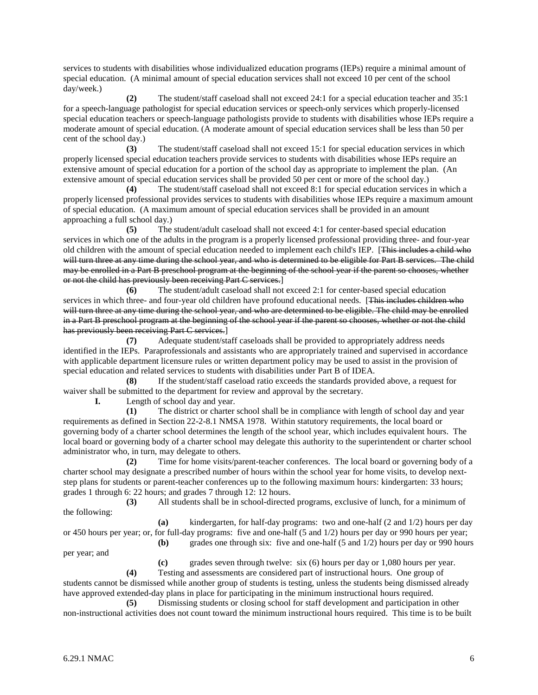services to students with disabilities whose individualized education programs (IEPs) require a minimal amount of special education. (A minimal amount of special education services shall not exceed 10 per cent of the school day/week.)

**(2)** The student/staff caseload shall not exceed 24:1 for a special education teacher and 35:1 for a speech-language pathologist for special education services or speech-only services which properly-licensed special education teachers or speech-language pathologists provide to students with disabilities whose IEPs require a moderate amount of special education. (A moderate amount of special education services shall be less than 50 per cent of the school day.)

**(3)** The student/staff caseload shall not exceed 15:1 for special education services in which properly licensed special education teachers provide services to students with disabilities whose IEPs require an extensive amount of special education for a portion of the school day as appropriate to implement the plan. (An extensive amount of special education services shall be provided 50 per cent or more of the school day.)

**(4)** The student/staff caseload shall not exceed 8:1 for special education services in which a properly licensed professional provides services to students with disabilities whose IEPs require a maximum amount of special education. (A maximum amount of special education services shall be provided in an amount approaching a full school day.)

**(5)** The student/adult caseload shall not exceed 4:1 for center-based special education services in which one of the adults in the program is a properly licensed professional providing three- and four-year old children with the amount of special education needed to implement each child's IEP. [This includes a child who will turn three at any time during the school year, and who is determined to be eligible for Part B services. The child may be enrolled in a Part B preschool program at the beginning of the school year if the parent so chooses, whether or not the child has previously been receiving Part C services.]

**(6)** The student/adult caseload shall not exceed 2:1 for center-based special education services in which three- and four-year old children have profound educational needs. [This includes children who will turn three at any time during the school year, and who are determined to be eligible. The child may be enrolled in a Part B preschool program at the beginning of the school year if the parent so chooses, whether or not the child has previously been receiving Part C services.

**(7)** Adequate student/staff caseloads shall be provided to appropriately address needs identified in the IEPs. Paraprofessionals and assistants who are appropriately trained and supervised in accordance with applicable department licensure rules or written department policy may be used to assist in the provision of special education and related services to students with disabilities under Part B of IDEA.

**(8)** If the student/staff caseload ratio exceeds the standards provided above, a request for waiver shall be submitted to the department for review and approval by the secretary.

**I.** Length of school day and year.

**(1)** The district or charter school shall be in compliance with length of school day and year requirements as defined in Section 22-2-8.1 NMSA 1978. Within statutory requirements, the local board or governing body of a charter school determines the length of the school year, which includes equivalent hours. The local board or governing body of a charter school may delegate this authority to the superintendent or charter school administrator who, in turn, may delegate to others.

**(2)** Time for home visits/parent-teacher conferences. The local board or governing body of a charter school may designate a prescribed number of hours within the school year for home visits, to develop nextstep plans for students or parent-teacher conferences up to the following maximum hours: kindergarten: 33 hours; grades 1 through 6: 22 hours; and grades 7 through 12: 12 hours.

**(3)** All students shall be in school-directed programs, exclusive of lunch, for a minimum of the following:

**(a)** kindergarten, for half-day programs: two and one-half (2 and 1/2) hours per day or 450 hours per year; or, for full-day programs: five and one-half (5 and 1/2) hours per day or 990 hours per year; **(b)** grades one through six: five and one-half (5 and 1/2) hours per day or 990 hours

per year; and

**(c)** grades seven through twelve: six (6) hours per day or 1,080 hours per year.

**(4)** Testing and assessments are considered part of instructional hours. One group of students cannot be dismissed while another group of students is testing, unless the students being dismissed already have approved extended-day plans in place for participating in the minimum instructional hours required.

**(5)** Dismissing students or closing school for staff development and participation in other non-instructional activities does not count toward the minimum instructional hours required. This time is to be built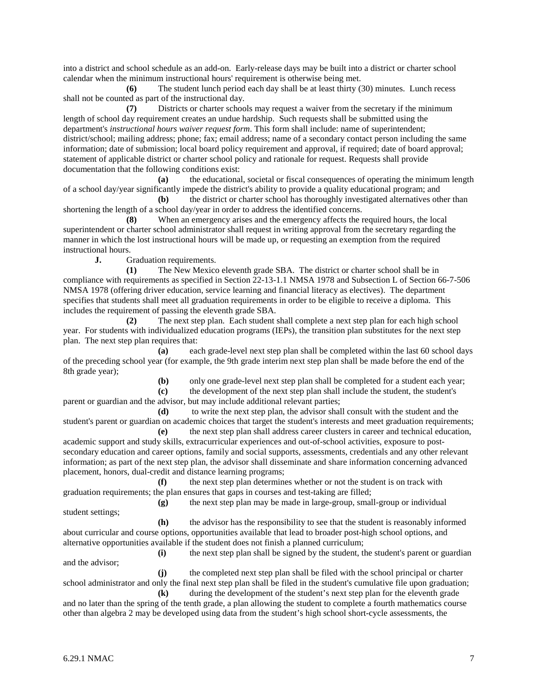into a district and school schedule as an add-on. Early-release days may be built into a district or charter school calendar when the minimum instructional hours' requirement is otherwise being met.

**(6)** The student lunch period each day shall be at least thirty (30) minutes. Lunch recess shall not be counted as part of the instructional day.

**(7)** Districts or charter schools may request a waiver from the secretary if the minimum length of school day requirement creates an undue hardship. Such requests shall be submitted using the department's *instructional hours waiver request form*. This form shall include: name of superintendent; district/school; mailing address; phone; fax; email address; name of a secondary contact person including the same information; date of submission; local board policy requirement and approval, if required; date of board approval; statement of applicable district or charter school policy and rationale for request. Requests shall provide documentation that the following conditions exist:

**(a)** the educational, societal or fiscal consequences of operating the minimum length of a school day/year significantly impede the district's ability to provide a quality educational program; and

**(b)** the district or charter school has thoroughly investigated alternatives other than shortening the length of a school day/year in order to address the identified concerns.

**(8)** When an emergency arises and the emergency affects the required hours, the local superintendent or charter school administrator shall request in writing approval from the secretary regarding the manner in which the lost instructional hours will be made up, or requesting an exemption from the required instructional hours.<br> **I** 

**J.** Graduation requirements.

**(1)** The New Mexico eleventh grade SBA. The district or charter school shall be in compliance with requirements as specified in Section 22-13-1.1 NMSA 1978 and Subsection L of Section 66-7-506 NMSA 1978 (offering driver education, service learning and financial literacy as electives). The department specifies that students shall meet all graduation requirements in order to be eligible to receive a diploma. This includes the requirement of passing the eleventh grade SBA.

**(2)** The next step plan. Each student shall complete a next step plan for each high school year. For students with individualized education programs (IEPs), the transition plan substitutes for the next step plan. The next step plan requires that:

**(a)** each grade-level next step plan shall be completed within the last 60 school days of the preceding school year (for example, the 9th grade interim next step plan shall be made before the end of the 8th grade year);

**(b)** only one grade-level next step plan shall be completed for a student each year;

**(c)** the development of the next step plan shall include the student, the student's parent or guardian and the advisor, but may include additional relevant parties;

**(d)** to write the next step plan, the advisor shall consult with the student and the student's parent or guardian on academic choices that target the student's interests and meet graduation requirements; **(e)** the next step plan shall address career clusters in career and technical education,

academic support and study skills, extracurricular experiences and out-of-school activities, exposure to postsecondary education and career options, family and social supports, assessments, credentials and any other relevant information; as part of the next step plan, the advisor shall disseminate and share information concerning advanced placement, honors, dual-credit and distance learning programs;

**(f)** the next step plan determines whether or not the student is on track with graduation requirements; the plan ensures that gaps in courses and test-taking are filled;

**(g)** the next step plan may be made in large-group, small-group or individual student settings;

**(h)** the advisor has the responsibility to see that the student is reasonably informed about curricular and course options, opportunities available that lead to broader post-high school options, and alternative opportunities available if the student does not finish a planned curriculum;

**(i)** the next step plan shall be signed by the student, the student's parent or guardian and the advisor;

**(j)** the completed next step plan shall be filed with the school principal or charter school administrator and only the final next step plan shall be filed in the student's cumulative file upon graduation; **(k)** during the development of the student's next step plan for the eleventh grade

and no later than the spring of the tenth grade, a plan allowing the student to complete a fourth mathematics course other than algebra 2 may be developed using data from the student's high school short-cycle assessments, the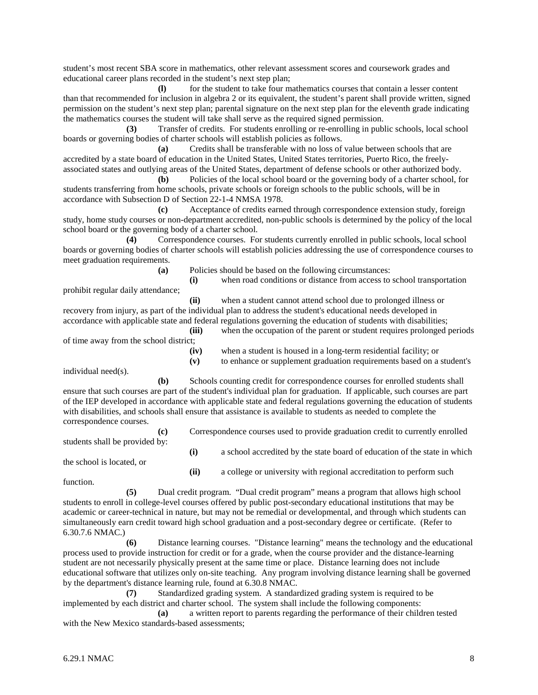student's most recent SBA score in mathematics, other relevant assessment scores and coursework grades and educational career plans recorded in the student's next step plan;

**(l)** for the student to take four mathematics courses that contain a lesser content than that recommended for inclusion in algebra 2 or its equivalent, the student's parent shall provide written, signed permission on the student's next step plan; parental signature on the next step plan for the eleventh grade indicating the mathematics courses the student will take shall serve as the required signed permission.

**(3)** Transfer of credits. For students enrolling or re-enrolling in public schools, local school boards or governing bodies of charter schools will establish policies as follows.

**(a)** Credits shall be transferable with no loss of value between schools that are accredited by a state board of education in the United States, United States territories, Puerto Rico, the freelyassociated states and outlying areas of the United States, department of defense schools or other authorized body.

**(b)** Policies of the local school board or the governing body of a charter school, for students transferring from home schools, private schools or foreign schools to the public schools, will be in accordance with Subsection D of Section 22-1-4 NMSA 1978.

**(c)** Acceptance of credits earned through correspondence extension study, foreign study, home study courses or non-department accredited, non-public schools is determined by the policy of the local school board or the governing body of a charter school.

**(4)** Correspondence courses. For students currently enrolled in public schools, local school boards or governing bodies of charter schools will establish policies addressing the use of correspondence courses to meet graduation requirements.

**(a)** Policies should be based on the following circumstances:

prohibit regular daily attendance;

**(ii)** when a student cannot attend school due to prolonged illness or recovery from injury, as part of the individual plan to address the student's educational needs developed in accordance with applicable state and federal regulations governing the education of students with disabilities;

**(iii)** when the occupation of the parent or student requires prolonged periods of time away from the school district;

| (iv) | when a student is housed in a long-term residential facility; or      |
|------|-----------------------------------------------------------------------|
| (v)  | to enhance or supplement graduation requirements based on a student's |

**(i)** when road conditions or distance from access to school transportation

individual need(s).

**(b)** Schools counting credit for correspondence courses for enrolled students shall ensure that such courses are part of the student's individual plan for graduation. If applicable, such courses are part of the IEP developed in accordance with applicable state and federal regulations governing the education of students with disabilities, and schools shall ensure that assistance is available to students as needed to complete the correspondence courses.

| (c)                            |      | Correspondence courses used to provide graduation credit to currently enrolled |
|--------------------------------|------|--------------------------------------------------------------------------------|
| students shall be provided by: |      |                                                                                |
| the school is located, or      | (i)  | a school accredited by the state board of education of the state in which      |
| function.                      | (ii) | a college or university with regional accreditation to perform such            |
|                                |      |                                                                                |

function.

**(5)** Dual credit program. "Dual credit program" means a program that allows high school students to enroll in college-level courses offered by public post-secondary educational institutions that may be academic or career-technical in nature, but may not be remedial or developmental, and through which students can simultaneously earn credit toward high school graduation and a post-secondary degree or certificate. (Refer to 6.30.7.6 NMAC.)

**(6)** Distance learning courses. "Distance learning" means the technology and the educational process used to provide instruction for credit or for a grade, when the course provider and the distance-learning student are not necessarily physically present at the same time or place. Distance learning does not include educational software that utilizes only on-site teaching. Any program involving distance learning shall be governed by the department's distance learning rule, found at 6.30.8 NMAC.

**(7)** Standardized grading system. A standardized grading system is required to be implemented by each district and charter school. The system shall include the following components: **(a)** a written report to parents regarding the performance of their children tested with the New Mexico standards-based assessments: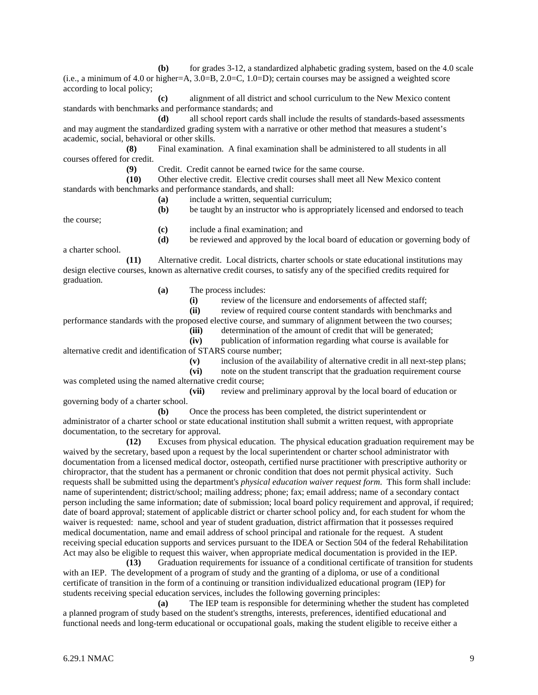**(b)** for grades 3-12, a standardized alphabetic grading system, based on the 4.0 scale (i.e., a minimum of 4.0 or higher=A,  $3.0=$ B,  $2.0=$ C,  $1.0=$ D); certain courses may be assigned a weighted score according to local policy;

**(c)** alignment of all district and school curriculum to the New Mexico content standards with benchmarks and performance standards; and

**(d)** all school report cards shall include the results of standards-based assessments and may augment the standardized grading system with a narrative or other method that measures a student's academic, social, behavioral or other skills.

**(8)** Final examination. A final examination shall be administered to all students in all courses offered for credit.

**(9)** Credit. Credit cannot be earned twice for the same course.

**(10)** Other elective credit. Elective credit courses shall meet all New Mexico content standards with benchmarks and performance standards, and shall:

- **(a)** include a written, sequential curriculum;
- **(b)** be taught by an instructor who is appropriately licensed and endorsed to teach

the course;

**(c)** include a final examination; and

**(d)** be reviewed and approved by the local board of education or governing body of a charter school.

**(11)** Alternative credit. Local districts, charter schools or state educational institutions may design elective courses, known as alternative credit courses, to satisfy any of the specified credits required for graduation.

**(a)** The process includes:

**(i)** review of the licensure and endorsements of affected staff;

**(ii)** review of required course content standards with benchmarks and

performance standards with the proposed elective course, and summary of alignment between the two courses;

**(iii)** determination of the amount of credit that will be generated;

- **(iv)** publication of information regarding what course is available for alternative credit and identification of STARS course number;
	- **(v)** inclusion of the availability of alternative credit in all next-step plans;

**(vi)** note on the student transcript that the graduation requirement course

was completed using the named alternative credit course; **(vii)** review and preliminary approval by the local board of education or

governing body of a charter school.

**(b)** Once the process has been completed, the district superintendent or administrator of a charter school or state educational institution shall submit a written request, with appropriate documentation, to the secretary for approval.

**(12)** Excuses from physical education. The physical education graduation requirement may be waived by the secretary, based upon a request by the local superintendent or charter school administrator with documentation from a licensed medical doctor, osteopath, certified nurse practitioner with prescriptive authority or chiropractor, that the student has a permanent or chronic condition that does not permit physical activity. Such requests shall be submitted using the department's *physical education waiver request form*. This form shall include: name of superintendent; district/school; mailing address; phone; fax; email address; name of a secondary contact person including the same information; date of submission; local board policy requirement and approval, if required; date of board approval; statement of applicable district or charter school policy and, for each student for whom the waiver is requested: name, school and year of student graduation, district affirmation that it possesses required medical documentation, name and email address of school principal and rationale for the request. A student receiving special education supports and services pursuant to the IDEA or Section 504 of the federal Rehabilitation Act may also be eligible to request this waiver, when appropriate medical documentation is provided in the IEP.

**(13)** Graduation requirements for issuance of a conditional certificate of transition for students with an IEP. The development of a program of study and the granting of a diploma, or use of a conditional certificate of transition in the form of a continuing or transition individualized educational program (IEP) for students receiving special education services, includes the following governing principles:

**(a)** The IEP team is responsible for determining whether the student has completed a planned program of study based on the student's strengths, interests, preferences, identified educational and functional needs and long-term educational or occupational goals, making the student eligible to receive either a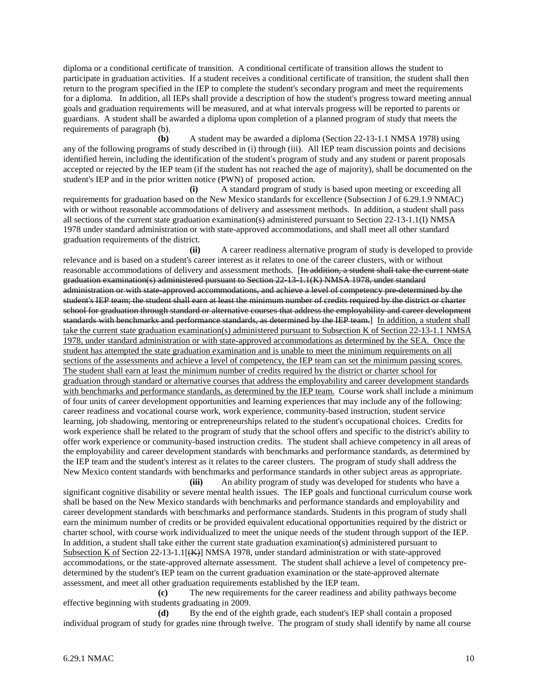diploma or a conditional certificate of transition. A conditional certificate of transition allows the student to participate in graduation activities. If a student receives a conditional certificate of transition, the student shall then return to the program specified in the IEP to complete the student's secondary program and meet the requirements for a diploma. In addition, all IEPs shall provide a description of how the student's progress toward meeting annual goals and graduation requirements will be measured, and at what intervals progress will be reported to parents or guardians. A student shall be awarded a diploma upon completion of a planned program of study that meets the requirements of paragraph (b).

**(b)** A student may be awarded a diploma (Section 22-13-1.1 NMSA 1978) using any of the following programs of study described in (i) through (iii). All IEP team discussion points and decisions identified herein, including the identification of the student's program of study and any student or parent proposals accepted or rejected by the IEP team (if the student has not reached the age of majority), shall be documented on the student's IEP and in the prior written notice (PWN) of proposed action.

**(i)** A standard program of study is based upon meeting or exceeding all requirements for graduation based on the New Mexico standards for excellence (Subsection J of 6.29.1.9 NMAC) with or without reasonable accommodations of delivery and assessment methods. In addition, a student shall pass all sections of the current state graduation examination(s) administered pursuant to Section 22-13-1.1(I) NMSA 1978 under standard administration or with state-approved accommodations, and shall meet all other standard graduation requirements of the district.

**(ii)** A career readiness alternative program of study is developed to provide relevance and is based on a student's career interest as it relates to one of the career clusters, with or without reasonable accommodations of delivery and assessment methods. [In addition, a student shall take the current state graduation examination(s) administered pursuant to Section 22-13-1.1(K) NMSA 1978, under standard administration or with state-approved accommodations, and achieve a level of competency pre-determined by the student's IEP team; the student shall earn at least the minimum number of credits required by the district or charter school for graduation through standard or alternative courses that address the employability and career development standards with benchmarks and performance standards, as determined by the IEP team.] In addition, a student shall take the current state graduation examination(s) administered pursuant to Subsection K of Section 22-13-1.1 NMSA 1978, under standard administration or with state-approved accommodations as determined by the SEA. Once the student has attempted the state graduation examination and is unable to meet the minimum requirements on all sections of the assessments and achieve a level of competency, the IEP team can set the minimum passing scores. The student shall earn at least the minimum number of credits required by the district or charter school for graduation through standard or alternative courses that address the employability and career development standards with benchmarks and performance standards, as determined by the IEP team. Course work shall include a minimum of four units of career development opportunities and learning experiences that may include any of the following: career readiness and vocational course work, work experience, community-based instruction, student service learning, job shadowing, mentoring or entrepreneurships related to the student's occupational choices. Credits for work experience shall be related to the program of study that the school offers and specific to the district's ability to offer work experience or community-based instruction credits. The student shall achieve competency in all areas of the employability and career development standards with benchmarks and performance standards, as determined by the IEP team and the student's interest as it relates to the career clusters. The program of study shall address the New Mexico content standards with benchmarks and performance standards in other subject areas as appropriate.

**(iii)** An ability program of study was developed for students who have a significant cognitive disability or severe mental health issues. The IEP goals and functional curriculum course work shall be based on the New Mexico standards with benchmarks and performance standards and employability and career development standards with benchmarks and performance standards. Students in this program of study shall earn the minimum number of credits or be provided equivalent educational opportunities required by the district or charter school, with course work individualized to meet the unique needs of the student through support of the IEP. In addition, a student shall take either the current state graduation examination(s) administered pursuant to Subsection K of Section 22-13-1.1[<del>(K)</del>] NMSA 1978, under standard administration or with state-approved accommodations, or the state-approved alternate assessment. The student shall achieve a level of competency predetermined by the student's IEP team on the current graduation examination or the state-approved alternate assessment, and meet all other graduation requirements established by the IEP team.

**(c)** The new requirements for the career readiness and ability pathways become effective beginning with students graduating in 2009.

**(d)** By the end of the eighth grade, each student's IEP shall contain a proposed individual program of study for grades nine through twelve. The program of study shall identify by name all course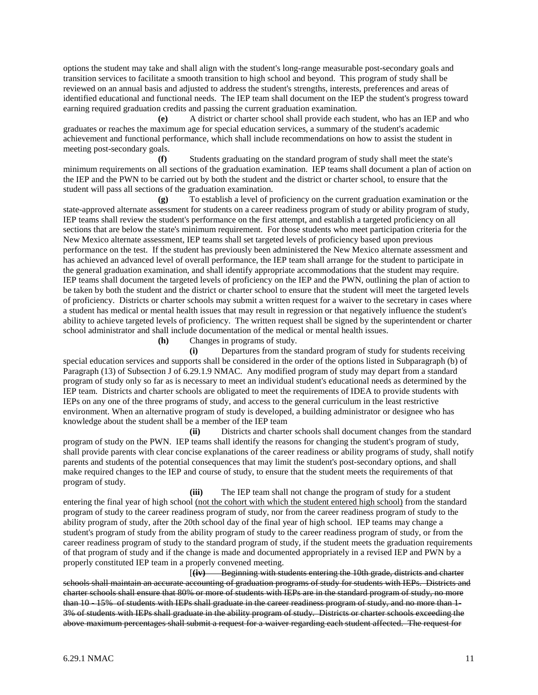options the student may take and shall align with the student's long-range measurable post-secondary goals and transition services to facilitate a smooth transition to high school and beyond. This program of study shall be reviewed on an annual basis and adjusted to address the student's strengths, interests, preferences and areas of identified educational and functional needs. The IEP team shall document on the IEP the student's progress toward earning required graduation credits and passing the current graduation examination.

**(e)** A district or charter school shall provide each student, who has an IEP and who graduates or reaches the maximum age for special education services, a summary of the student's academic achievement and functional performance, which shall include recommendations on how to assist the student in meeting post-secondary goals.

**(f)** Students graduating on the standard program of study shall meet the state's minimum requirements on all sections of the graduation examination. IEP teams shall document a plan of action on the IEP and the PWN to be carried out by both the student and the district or charter school, to ensure that the student will pass all sections of the graduation examination.

**(g)** To establish a level of proficiency on the current graduation examination or the state-approved alternate assessment for students on a career readiness program of study or ability program of study, IEP teams shall review the student's performance on the first attempt, and establish a targeted proficiency on all sections that are below the state's minimum requirement. For those students who meet participation criteria for the New Mexico alternate assessment, IEP teams shall set targeted levels of proficiency based upon previous performance on the test. If the student has previously been administered the New Mexico alternate assessment and has achieved an advanced level of overall performance, the IEP team shall arrange for the student to participate in the general graduation examination, and shall identify appropriate accommodations that the student may require. IEP teams shall document the targeted levels of proficiency on the IEP and the PWN, outlining the plan of action to be taken by both the student and the district or charter school to ensure that the student will meet the targeted levels of proficiency. Districts or charter schools may submit a written request for a waiver to the secretary in cases where a student has medical or mental health issues that may result in regression or that negatively influence the student's ability to achieve targeted levels of proficiency. The written request shall be signed by the superintendent or charter school administrator and shall include documentation of the medical or mental health issues.

**(h)** Changes in programs of study.

**(i)** Departures from the standard program of study for students receiving special education services and supports shall be considered in the order of the options listed in Subparagraph (b) of Paragraph (13) of Subsection J of 6.29.1.9 NMAC. Any modified program of study may depart from a standard program of study only so far as is necessary to meet an individual student's educational needs as determined by the IEP team. Districts and charter schools are obligated to meet the requirements of IDEA to provide students with IEPs on any one of the three programs of study, and access to the general curriculum in the least restrictive environment. When an alternative program of study is developed, a building administrator or designee who has knowledge about the student shall be a member of the IEP team

**(ii)** Districts and charter schools shall document changes from the standard program of study on the PWN. IEP teams shall identify the reasons for changing the student's program of study, shall provide parents with clear concise explanations of the career readiness or ability programs of study, shall notify parents and students of the potential consequences that may limit the student's post-secondary options, and shall make required changes to the IEP and course of study, to ensure that the student meets the requirements of that program of study.

**(iii)** The IEP team shall not change the program of study for a student entering the final year of high school (not the cohort with which the student entered high school) from the standard program of study to the career readiness program of study, nor from the career readiness program of study to the ability program of study, after the 20th school day of the final year of high school. IEP teams may change a student's program of study from the ability program of study to the career readiness program of study, or from the career readiness program of study to the standard program of study, if the student meets the graduation requirements of that program of study and if the change is made and documented appropriately in a revised IEP and PWN by a properly constituted IEP team in a properly convened meeting.<br>  $[(iv)$  Beginning with stu

[**(iv)** Beginning with students entering the 10th grade, districts and charter schools shall maintain an accurate accounting of graduation programs of study for students with IEPs. Districts and charter schools shall ensure that 80% or more of students with IEPs are in the standard program of study, no more than 10 - 15% of students with IEPs shall graduate in the career readiness program of study, and no more than 1 3% of students with IEPs shall graduate in the ability program of study. Districts or charter schools exceeding the above maximum percentages shall submit a request for a waiver regarding each student affected. The request for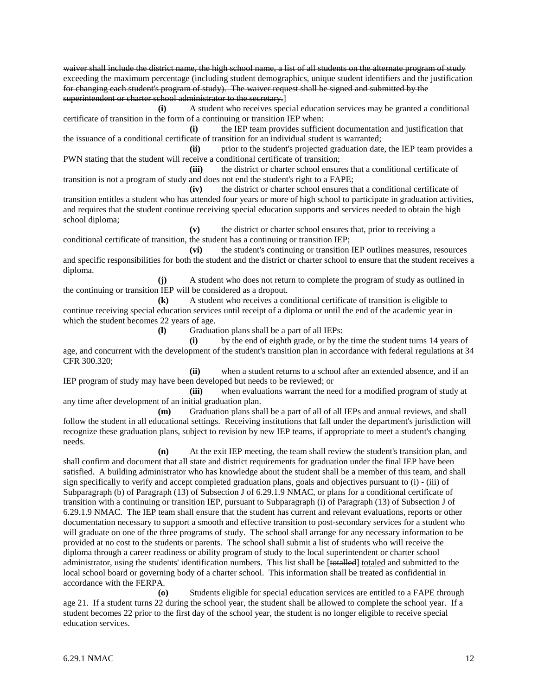waiver shall include the district name, the high school name, a list of all students on the alternate program of study exceeding the maximum percentage (including student demographics, unique student identifiers and the justification for changing each student's program of study). The waiver request shall be signed and submitted by the superintendent or charter school administrator to the secretary.]

**(i)** A student who receives special education services may be granted a conditional certificate of transition in the form of a continuing or transition IEP when:

**(i)** the IEP team provides sufficient documentation and justification that the issuance of a conditional certificate of transition for an individual student is warranted;

**(ii)** prior to the student's projected graduation date, the IEP team provides a PWN stating that the student will receive a conditional certificate of transition;

**(iii)** the district or charter school ensures that a conditional certificate of transition is not a program of study and does not end the student's right to a FAPE;

**(iv)** the district or charter school ensures that a conditional certificate of transition entitles a student who has attended four years or more of high school to participate in graduation activities, and requires that the student continue receiving special education supports and services needed to obtain the high school diploma;

**(v)** the district or charter school ensures that, prior to receiving a conditional certificate of transition, the student has a continuing or transition IEP;

**(vi)** the student's continuing or transition IEP outlines measures, resources and specific responsibilities for both the student and the district or charter school to ensure that the student receives a diploma.

**(j)** A student who does not return to complete the program of study as outlined in the continuing or transition IEP will be considered as a dropout.

**(k)** A student who receives a conditional certificate of transition is eligible to continue receiving special education services until receipt of a diploma or until the end of the academic year in which the student becomes 22 years of age.

**(l)** Graduation plans shall be a part of all IEPs:

**(i)** by the end of eighth grade, or by the time the student turns 14 years of age, and concurrent with the development of the student's transition plan in accordance with federal regulations at 34 CFR 300.320;

**(ii)** when a student returns to a school after an extended absence, and if an IEP program of study may have been developed but needs to be reviewed; or

**(iii)** when evaluations warrant the need for a modified program of study at any time after development of an initial graduation plan.

**(m)** Graduation plans shall be a part of all of all IEPs and annual reviews, and shall follow the student in all educational settings. Receiving institutions that fall under the department's jurisdiction will recognize these graduation plans, subject to revision by new IEP teams, if appropriate to meet a student's changing needs.

**(n)** At the exit IEP meeting, the team shall review the student's transition plan, and shall confirm and document that all state and district requirements for graduation under the final IEP have been satisfied. A building administrator who has knowledge about the student shall be a member of this team, and shall sign specifically to verify and accept completed graduation plans, goals and objectives pursuant to (i) - (iii) of Subparagraph (b) of Paragraph (13) of Subsection J of 6.29.1.9 NMAC, or plans for a conditional certificate of transition with a continuing or transition IEP, pursuant to Subparagraph (i) of Paragraph (13) of Subsection J of 6.29.1.9 NMAC. The IEP team shall ensure that the student has current and relevant evaluations, reports or other documentation necessary to support a smooth and effective transition to post-secondary services for a student who will graduate on one of the three programs of study. The school shall arrange for any necessary information to be provided at no cost to the students or parents. The school shall submit a list of students who will receive the diploma through a career readiness or ability program of study to the local superintendent or charter school administrator, using the students' identification numbers. This list shall be [totalled] totaled and submitted to the local school board or governing body of a charter school. This information shall be treated as confidential in accordance with the FERPA.

**(o)** Students eligible for special education services are entitled to a FAPE through age 21. If a student turns 22 during the school year, the student shall be allowed to complete the school year. If a student becomes 22 prior to the first day of the school year, the student is no longer eligible to receive special education services.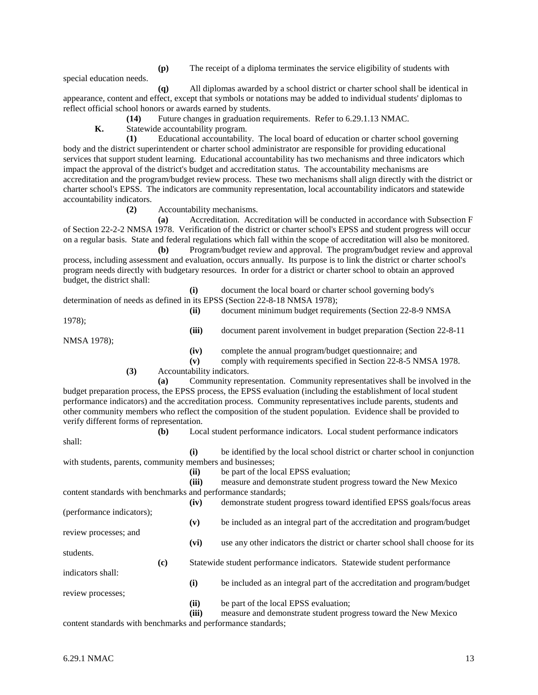**(p)** The receipt of a diploma terminates the service eligibility of students with

special education needs.

**(q)** All diplomas awarded by a school district or charter school shall be identical in appearance, content and effect, except that symbols or notations may be added to individual students' diplomas to reflect official school honors or awards earned by students.

**(14)** Future changes in graduation requirements. Refer to 6.29.1.13 NMAC.

**K.** Statewide accountability program.

**(1)** Educational accountability. The local board of education or charter school governing body and the district superintendent or charter school administrator are responsible for providing educational services that support student learning. Educational accountability has two mechanisms and three indicators which impact the approval of the district's budget and accreditation status. The accountability mechanisms are accreditation and the program/budget review process. These two mechanisms shall align directly with the district or charter school's EPSS. The indicators are community representation, local accountability indicators and statewide accountability indicators.

**(2)** Accountability mechanisms.

**(a)** Accreditation. Accreditation will be conducted in accordance with Subsection F of Section 22-2-2 NMSA 1978. Verification of the district or charter school's EPSS and student progress will occur on a regular basis. State and federal regulations which fall within the scope of accreditation will also be monitored.

**(b)** Program/budget review and approval. The program/budget review and approval process, including assessment and evaluation, occurs annually. Its purpose is to link the district or charter school's program needs directly with budgetary resources. In order for a district or charter school to obtain an approved budget, the district shall:

**(i)** document the local board or charter school governing body's

determination of needs as defined in its EPSS (Section 22-8-18 NMSA 1978);

**(ii)** document minimum budget requirements (Section 22-8-9 NMSA

**(iii)** document parent involvement in budget preparation (Section 22-8-11)

NMSA 1978);

**(iv)** complete the annual program/budget questionnaire; and

**(v)** comply with requirements specified in Section 22-8-5 NMSA 1978.

**(3)** Accountability indicators.

**(a)** Community representation. Community representatives shall be involved in the budget preparation process, the EPSS process, the EPSS evaluation (including the establishment of local student performance indicators) and the accreditation process. Community representatives include parents, students and other community members who reflect the composition of the student population. Evidence shall be provided to verify different forms of representation.

**(b)** Local student performance indicators. Local student performance indicators shall:

**(i)** be identified by the local school district or charter school in conjunction with students, parents, community members and businesses;

**(ii)** be part of the local EPSS evaluation;

|                                                              | (iii) | measure and demonstrate student progress toward the New Mexico               |
|--------------------------------------------------------------|-------|------------------------------------------------------------------------------|
| content standards with benchmarks and performance standards; |       |                                                                              |
|                                                              | (iv)  | demonstrate student progress toward identified EPSS goals/focus areas        |
| (performance indicators);                                    |       |                                                                              |
|                                                              | (v)   | be included as an integral part of the accreditation and program/budget      |
| review processes; and                                        |       |                                                                              |
|                                                              | (vi)  | use any other indicators the district or charter school shall choose for its |
| students.                                                    |       |                                                                              |
| $\left( \mathbf{c} \right)$                                  |       | Statewide student performance indicators. Statewide student performance      |
| indicators shall:                                            |       |                                                                              |
|                                                              |       | be included as an integral part of the accreditation and program/budget      |
| review processes;                                            |       |                                                                              |
|                                                              | (i)   |                                                                              |

**(ii)** be part of the local EPSS evaluation;

**(iii)** measure and demonstrate student progress toward the New Mexico content standards with benchmarks and performance standards;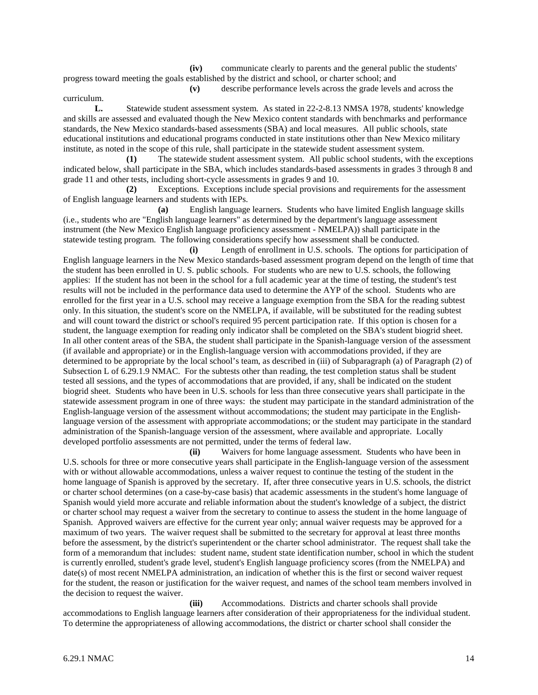**(iv)** communicate clearly to parents and the general public the students' progress toward meeting the goals established by the district and school, or charter school; and

curriculum.

**(v)** describe performance levels across the grade levels and across the

**L.** Statewide student assessment system. As stated in 22-2-8.13 NMSA 1978, students' knowledge and skills are assessed and evaluated though the New Mexico content standards with benchmarks and performance standards, the New Mexico standards-based assessments (SBA) and local measures. All public schools, state educational institutions and educational programs conducted in state institutions other than New Mexico military institute, as noted in the scope of this rule, shall participate in the statewide student assessment system.

**(1)** The statewide student assessment system. All public school students, with the exceptions indicated below, shall participate in the SBA, which includes standards-based assessments in grades 3 through 8 and grade 11 and other tests, including short-cycle assessments in grades 9 and 10.

**(2)** Exceptions. Exceptions include special provisions and requirements for the assessment of English language learners and students with IEPs.

**(a)** English language learners. Students who have limited English language skills (i.e., students who are "English language learners" as determined by the department's language assessment instrument (the New Mexico English language proficiency assessment - NMELPA)) shall participate in the statewide testing program. The following considerations specify how assessment shall be conducted.

**(i)** Length of enrollment in U.S. schools. The options for participation of English language learners in the New Mexico standards-based assessment program depend on the length of time that the student has been enrolled in U. S. public schools. For students who are new to U.S. schools, the following applies: If the student has not been in the school for a full academic year at the time of testing, the student's test results will not be included in the performance data used to determine the AYP of the school. Students who are enrolled for the first year in a U.S. school may receive a language exemption from the SBA for the reading subtest only. In this situation, the student's score on the NMELPA, if available, will be substituted for the reading subtest and will count toward the district or school's required 95 percent participation rate. If this option is chosen for a student, the language exemption for reading only indicator shall be completed on the SBA's student biogrid sheet. In all other content areas of the SBA, the student shall participate in the Spanish-language version of the assessment (if available and appropriate) or in the English-language version with accommodations provided, if they are determined to be appropriate by the local school's team, as described in (iii) of Subparagraph (a) of Paragraph (2) of Subsection L of 6.29.1.9 NMAC. For the subtests other than reading, the test completion status shall be student tested all sessions, and the types of accommodations that are provided, if any, shall be indicated on the student biogrid sheet. Students who have been in U.S. schools for less than three consecutive years shall participate in the statewide assessment program in one of three ways: the student may participate in the standard administration of the English-language version of the assessment without accommodations; the student may participate in the Englishlanguage version of the assessment with appropriate accommodations; or the student may participate in the standard administration of the Spanish-language version of the assessment, where available and appropriate. Locally developed portfolio assessments are not permitted, under the terms of federal law.

**(ii)** Waivers for home language assessment. Students who have been in U.S. schools for three or more consecutive years shall participate in the English-language version of the assessment with or without allowable accommodations, unless a waiver request to continue the testing of the student in the home language of Spanish is approved by the secretary. If, after three consecutive years in U.S. schools, the district or charter school determines (on a case-by-case basis) that academic assessments in the student's home language of Spanish would yield more accurate and reliable information about the student's knowledge of a subject, the district or charter school may request a waiver from the secretary to continue to assess the student in the home language of Spanish. Approved waivers are effective for the current year only; annual waiver requests may be approved for a maximum of two years. The waiver request shall be submitted to the secretary for approval at least three months before the assessment, by the district's superintendent or the charter school administrator. The request shall take the form of a memorandum that includes: student name, student state identification number, school in which the student is currently enrolled, student's grade level, student's English language proficiency scores (from the NMELPA) and date(s) of most recent NMELPA administration, an indication of whether this is the first or second waiver request for the student, the reason or justification for the waiver request, and names of the school team members involved in the decision to request the waiver.

**(iii)** Accommodations. Districts and charter schools shall provide accommodations to English language learners after consideration of their appropriateness for the individual student. To determine the appropriateness of allowing accommodations, the district or charter school shall consider the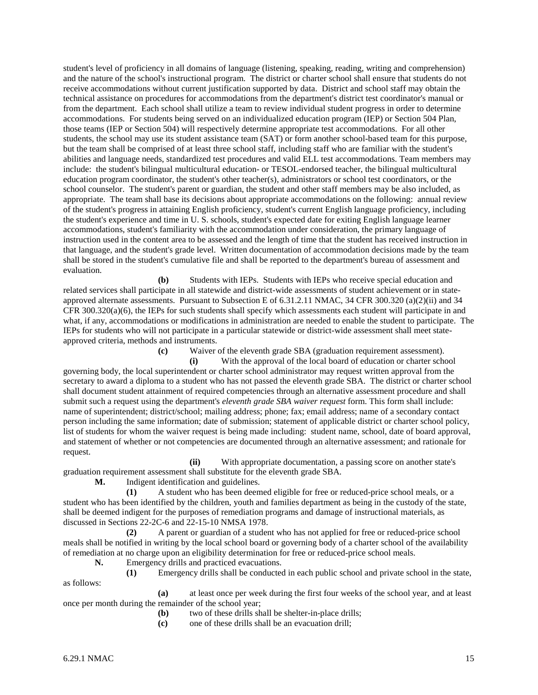student's level of proficiency in all domains of language (listening, speaking, reading, writing and comprehension) and the nature of the school's instructional program. The district or charter school shall ensure that students do not receive accommodations without current justification supported by data. District and school staff may obtain the technical assistance on procedures for accommodations from the department's district test coordinator's manual or from the department. Each school shall utilize a team to review individual student progress in order to determine accommodations. For students being served on an individualized education program (IEP) or Section 504 Plan, those teams (IEP or Section 504) will respectively determine appropriate test accommodations. For all other students, the school may use its student assistance team (SAT) or form another school-based team for this purpose, but the team shall be comprised of at least three school staff, including staff who are familiar with the student's abilities and language needs, standardized test procedures and valid ELL test accommodations. Team members may include: the student's bilingual multicultural education- or TESOL-endorsed teacher, the bilingual multicultural education program coordinator, the student's other teacher(s), administrators or school test coordinators, or the school counselor. The student's parent or guardian, the student and other staff members may be also included, as appropriate. The team shall base its decisions about appropriate accommodations on the following: annual review of the student's progress in attaining English proficiency, student's current English language proficiency, including the student's experience and time in U. S. schools, student's expected date for exiting English language learner accommodations, student's familiarity with the accommodation under consideration, the primary language of instruction used in the content area to be assessed and the length of time that the student has received instruction in that language, and the student's grade level. Written documentation of accommodation decisions made by the team shall be stored in the student's cumulative file and shall be reported to the department's bureau of assessment and evaluation.

**(b)** Students with IEPs. Students with IEPs who receive special education and related services shall participate in all statewide and district-wide assessments of student achievement or in stateapproved alternate assessments. Pursuant to Subsection E of 6.31.2.11 NMAC, 34 CFR 300.320 (a)(2)(ii) and 34 CFR 300.320(a)(6), the IEPs for such students shall specify which assessments each student will participate in and what, if any, accommodations or modifications in administration are needed to enable the student to participate. The IEPs for students who will not participate in a particular statewide or district-wide assessment shall meet stateapproved criteria, methods and instruments.

**(c)** Waiver of the eleventh grade SBA (graduation requirement assessment).

**(i)** With the approval of the local board of education or charter school governing body, the local superintendent or charter school administrator may request written approval from the secretary to award a diploma to a student who has not passed the eleventh grade SBA. The district or charter school shall document student attainment of required competencies through an alternative assessment procedure and shall submit such a request using the department's *eleventh grade SBA waiver request* form. This form shall include: name of superintendent; district/school; mailing address; phone; fax; email address; name of a secondary contact person including the same information; date of submission; statement of applicable district or charter school policy, list of students for whom the waiver request is being made including: student name, school, date of board approval, and statement of whether or not competencies are documented through an alternative assessment; and rationale for request.

**(ii)** With appropriate documentation, a passing score on another state's graduation requirement assessment shall substitute for the eleventh grade SBA.

**M.** Indigent identification and guidelines.

**(1)** A student who has been deemed eligible for free or reduced-price school meals, or a student who has been identified by the children, youth and families department as being in the custody of the state, shall be deemed indigent for the purposes of remediation programs and damage of instructional materials, as discussed in Sections 22-2C-6 and 22-15-10 NMSA 1978.

**(2)** A parent or guardian of a student who has not applied for free or reduced-price school meals shall be notified in writing by the local school board or governing body of a charter school of the availability of remediation at no charge upon an eligibility determination for free or reduced-price school meals.

**N.** Emergency drills and practiced evacuations.

**(1)** Emergency drills shall be conducted in each public school and private school in the state, as follows:

**(a)** at least once per week during the first four weeks of the school year, and at least once per month during the remainder of the school year;

**(b)** two of these drills shall be shelter-in-place drills;

**(c)** one of these drills shall be an evacuation drill;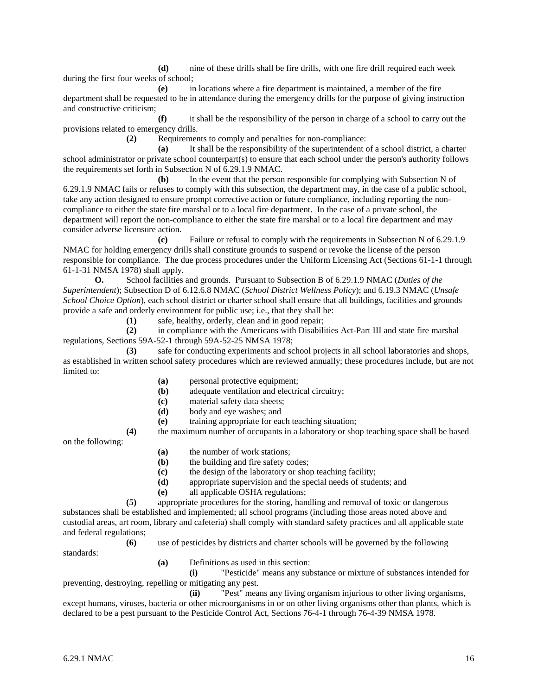**(d)** nine of these drills shall be fire drills, with one fire drill required each week during the first four weeks of school;

**(e)** in locations where a fire department is maintained, a member of the fire department shall be requested to be in attendance during the emergency drills for the purpose of giving instruction and constructive criticism;

**(f)** it shall be the responsibility of the person in charge of a school to carry out the provisions related to emergency drills.

**(2)** Requirements to comply and penalties for non-compliance:

**(a)** It shall be the responsibility of the superintendent of a school district, a charter school administrator or private school counterpart(s) to ensure that each school under the person's authority follows the requirements set forth in Subsection N of 6.29.1.9 NMAC.

**(b)** In the event that the person responsible for complying with Subsection N of 6.29.1.9 NMAC fails or refuses to comply with this subsection, the department may, in the case of a public school, take any action designed to ensure prompt corrective action or future compliance, including reporting the noncompliance to either the state fire marshal or to a local fire department. In the case of a private school, the department will report the non-compliance to either the state fire marshal or to a local fire department and may consider adverse licensure action.

**(c)** Failure or refusal to comply with the requirements in Subsection N of 6.29.1.9 NMAC for holding emergency drills shall constitute grounds to suspend or revoke the license of the person responsible for compliance. The due process procedures under the Uniform Licensing Act (Sections 61-1-1 through 61-1-31 NMSA 1978) shall apply.

**O.** School facilities and grounds. Pursuant to Subsection B of 6.29.1.9 NMAC (*Duties of the Superintendent*); Subsection D of 6.12.6.8 NMAC (*School District Wellness Policy*); and 6.19.3 NMAC (*Unsafe School Choice Option*), each school district or charter school shall ensure that all buildings, facilities and grounds provide a safe and orderly environment for public use; i.e., that they shall be:

**(1)** safe, healthy, orderly, clean and in good repair;

**(2)** in compliance with the Americans with Disabilities Act-Part III and state fire marshal regulations, Sections 59A-52-1 through 59A-52-25 NMSA 1978;

**(3)** safe for conducting experiments and school projects in all school laboratories and shops, as established in written school safety procedures which are reviewed annually; these procedures include, but are not limited to:

- **(a)** personal protective equipment;
- **(b)** adequate ventilation and electrical circuitry;
- (c) material safety data sheets;<br>(d) body and eve washes; and
- **(d)** body and eye washes; and
- **(e)** training appropriate for each teaching situation;

**(4)** the maximum number of occupants in a laboratory or shop teaching space shall be based on the following:

- **(a)** the number of work stations;
	- **(b)** the building and fire safety codes;
	- **(c)** the design of the laboratory or shop teaching facility;
	- **(d)** appropriate supervision and the special needs of students; and
	- **(e)** all applicable OSHA regulations;

**(5)** appropriate procedures for the storing, handling and removal of toxic or dangerous substances shall be established and implemented; all school programs (including those areas noted above and custodial areas, art room, library and cafeteria) shall comply with standard safety practices and all applicable state and federal regulations;

**(6)** use of pesticides by districts and charter schools will be governed by the following

standards:

**(a)** Definitions as used in this section:

**(i)** "Pesticide" means any substance or mixture of substances intended for preventing, destroying, repelling or mitigating any pest.

**(ii)** "Pest" means any living organism injurious to other living organisms, except humans, viruses, bacteria or other microorganisms in or on other living organisms other than plants, which is declared to be a pest pursuant to the Pesticide Control Act, Sections 76-4-1 through 76-4-39 NMSA 1978.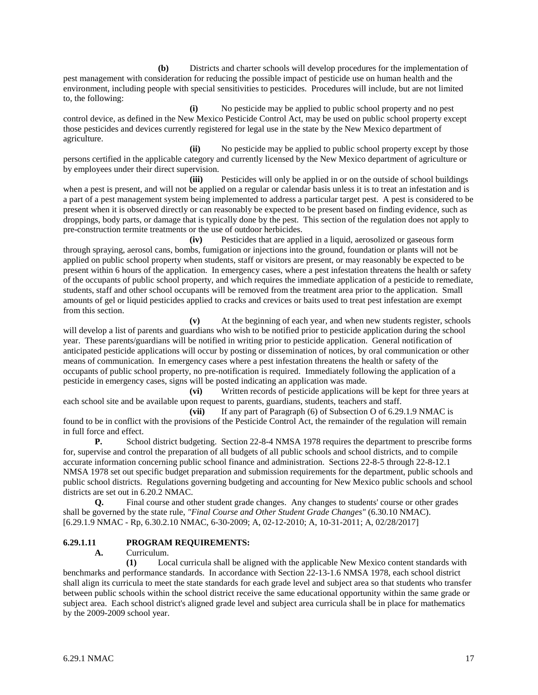**(b)** Districts and charter schools will develop procedures for the implementation of pest management with consideration for reducing the possible impact of pesticide use on human health and the environment, including people with special sensitivities to pesticides. Procedures will include, but are not limited to, the following:

**(i)** No pesticide may be applied to public school property and no pest control device, as defined in the New Mexico Pesticide Control Act, may be used on public school property except those pesticides and devices currently registered for legal use in the state by the New Mexico department of agriculture.

**(ii)** No pesticide may be applied to public school property except by those persons certified in the applicable category and currently licensed by the New Mexico department of agriculture or by employees under their direct supervision.

**(iii)** Pesticides will only be applied in or on the outside of school buildings when a pest is present, and will not be applied on a regular or calendar basis unless it is to treat an infestation and is a part of a pest management system being implemented to address a particular target pest. A pest is considered to be present when it is observed directly or can reasonably be expected to be present based on finding evidence, such as droppings, body parts, or damage that is typically done by the pest. This section of the regulation does not apply to pre-construction termite treatments or the use of outdoor herbicides.

**(iv)** Pesticides that are applied in a liquid, aerosolized or gaseous form through spraying, aerosol cans, bombs, fumigation or injections into the ground, foundation or plants will not be applied on public school property when students, staff or visitors are present, or may reasonably be expected to be present within 6 hours of the application. In emergency cases, where a pest infestation threatens the health or safety of the occupants of public school property, and which requires the immediate application of a pesticide to remediate, students, staff and other school occupants will be removed from the treatment area prior to the application. Small amounts of gel or liquid pesticides applied to cracks and crevices or baits used to treat pest infestation are exempt from this section.

**(v)** At the beginning of each year, and when new students register, schools will develop a list of parents and guardians who wish to be notified prior to pesticide application during the school year. These parents/guardians will be notified in writing prior to pesticide application. General notification of anticipated pesticide applications will occur by posting or dissemination of notices, by oral communication or other means of communication. In emergency cases where a pest infestation threatens the health or safety of the occupants of public school property, no pre-notification is required. Immediately following the application of a pesticide in emergency cases, signs will be posted indicating an application was made.

**(vi)** Written records of pesticide applications will be kept for three years at each school site and be available upon request to parents, guardians, students, teachers and staff.

**(vii)** If any part of Paragraph (6) of Subsection O of 6.29.1.9 NMAC is found to be in conflict with the provisions of the Pesticide Control Act, the remainder of the regulation will remain in full force and effect.

**P.** School district budgeting. Section 22-8-4 NMSA 1978 requires the department to prescribe forms for, supervise and control the preparation of all budgets of all public schools and school districts, and to compile accurate information concerning public school finance and administration. Sections 22-8-5 through 22-8-12.1 NMSA 1978 set out specific budget preparation and submission requirements for the department, public schools and public school districts. Regulations governing budgeting and accounting for New Mexico public schools and school districts are set out in 6.20.2 NMAC.

**Q.** Final course and other student grade changes. Any changes to students' course or other grades shall be governed by the state rule, *"Final Course and Other Student Grade Changes"* (6.30.10 NMAC). [6.29.1.9 NMAC - Rp, 6.30.2.10 NMAC, 6-30-2009; A, 02-12-2010; A, 10-31-2011; A, 02/28/2017]

# **6.29.1.11 PROGRAM REQUIREMENTS:**

## **A.** Curriculum.

**(1)** Local curricula shall be aligned with the applicable New Mexico content standards with benchmarks and performance standards. In accordance with Section 22-13-1.6 NMSA 1978, each school district shall align its curricula to meet the state standards for each grade level and subject area so that students who transfer between public schools within the school district receive the same educational opportunity within the same grade or subject area. Each school district's aligned grade level and subject area curricula shall be in place for mathematics by the 2009-2009 school year.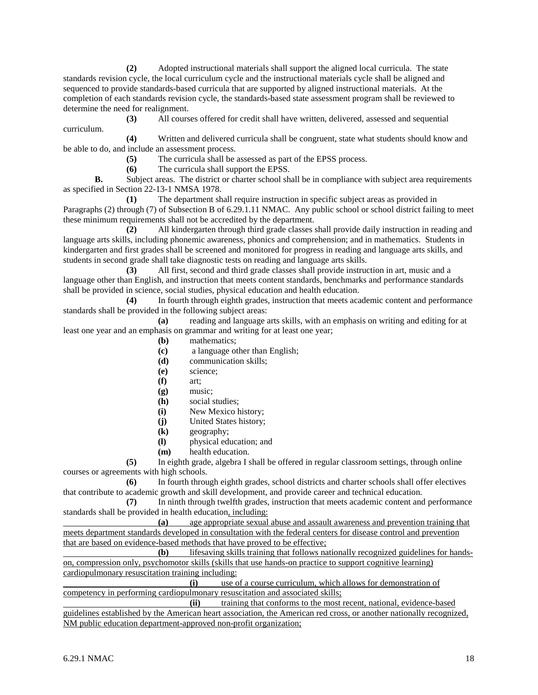**(2)** Adopted instructional materials shall support the aligned local curricula. The state standards revision cycle, the local curriculum cycle and the instructional materials cycle shall be aligned and sequenced to provide standards-based curricula that are supported by aligned instructional materials. At the completion of each standards revision cycle, the standards-based state assessment program shall be reviewed to determine the need for realignment.

curriculum.

**(3)** All courses offered for credit shall have written, delivered, assessed and sequential

**(4)** Written and delivered curricula shall be congruent, state what students should know and be able to do, and include an assessment process.

**(5)** The curricula shall be assessed as part of the EPSS process.

**(6)** The curricula shall support the EPSS.

**B.** Subject areas. The district or charter school shall be in compliance with subject area requirements as specified in Section 22-13-1 NMSA 1978.

**(1)** The department shall require instruction in specific subject areas as provided in Paragraphs (2) through (7) of Subsection B of 6.29.1.11 NMAC. Any public school or school district failing to meet these minimum requirements shall not be accredited by the department.

**(2)** All kindergarten through third grade classes shall provide daily instruction in reading and language arts skills, including phonemic awareness, phonics and comprehension; and in mathematics. Students in kindergarten and first grades shall be screened and monitored for progress in reading and language arts skills, and students in second grade shall take diagnostic tests on reading and language arts skills.

**(3)** All first, second and third grade classes shall provide instruction in art, music and a language other than English, and instruction that meets content standards, benchmarks and performance standards shall be provided in science, social studies, physical education and health education.

**(4)** In fourth through eighth grades, instruction that meets academic content and performance standards shall be provided in the following subject areas:

**(a)** reading and language arts skills, with an emphasis on writing and editing for at least one year and an emphasis on grammar and writing for at least one year;

- **(b)** mathematics;
- **(c)** a language other than English;
- **(d)** communication skills;
- **(e)** science;
- **(f)** art;
- **(g)** music;
- **(h)** social studies;
- **(i)** New Mexico history;
- **(j)** United States history;
- **(k)** geography;
- **(l)** physical education; and
- **(m)** health education.

**(5)** In eighth grade, algebra I shall be offered in regular classroom settings, through online courses or agreements with high schools.

**(6)** In fourth through eighth grades, school districts and charter schools shall offer electives that contribute to academic growth and skill development, and provide career and technical education.

**(7)** In ninth through twelfth grades, instruction that meets academic content and performance standards shall be provided in health education, including:

**(a)** age appropriate sexual abuse and assault awareness and prevention training that meets department standards developed in consultation with the federal centers for disease control and prevention that are based on evidence-based methods that have proved to be effective;

**(b)** lifesaving skills training that follows nationally recognized guidelines for handson, compression only, psychomotor skills (skills that use hands-on practice to support cognitive learning) cardiopulmonary resuscitation training including:

**(i)** use of a course curriculum, which allows for demonstration of competency in performing cardiopulmonary resuscitation and associated skills;

**(ii)** training that conforms to the most recent, national, evidence-based guidelines established by the American heart association, the American red cross, or another nationally recognized, NM public education department-approved non-profit organization;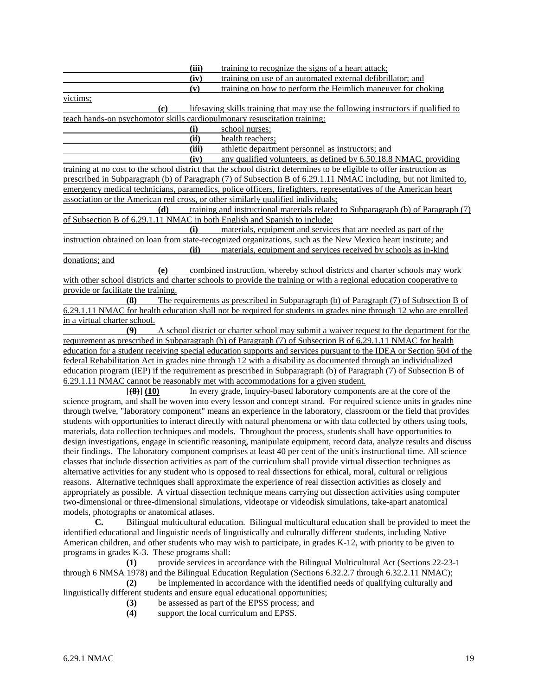| (iii)                                                                            | training to recognize the signs of a heart attack;                                                                    |
|----------------------------------------------------------------------------------|-----------------------------------------------------------------------------------------------------------------------|
| (iv)                                                                             | training on use of an automated external defibrillator; and                                                           |
| (v)                                                                              | training on how to perform the Heimlich maneuver for choking                                                          |
| victims;                                                                         |                                                                                                                       |
| (c)                                                                              | lifesaving skills training that may use the following instructors if qualified to                                     |
| teach hands-on psychomotor skills cardiopulmonary resuscitation training:        |                                                                                                                       |
| (i)                                                                              | school nurses;                                                                                                        |
| (ii)                                                                             | health teachers;                                                                                                      |
| (iii)                                                                            | athletic department personnel as instructors; and                                                                     |
| (iv)                                                                             | any qualified volunteers, as defined by 6.50.18.8 NMAC, providing                                                     |
|                                                                                  | training at no cost to the school district that the school district determines to be eligible to offer instruction as |
|                                                                                  | prescribed in Subparagraph (b) of Paragraph (7) of Subsection B of 6.29.1.11 NMAC including, but not limited to,      |
|                                                                                  | emergency medical technicians, paramedics, police officers, firefighters, representatives of the American heart       |
| association or the American red cross, or other similarly qualified individuals; |                                                                                                                       |
| (d)                                                                              | training and instructional materials related to Subparagraph (b) of Paragraph (7)                                     |
| of Subsection B of 6.29.1.11 NMAC in both English and Spanish to include:        |                                                                                                                       |
| (i)                                                                              | materials, equipment and services that are needed as part of the                                                      |
|                                                                                  | instruction obtained on loan from state-recognized organizations, such as the New Mexico heart institute; and         |
| (ii)                                                                             | materials, equipment and services received by schools as in-kind                                                      |
| donations; and                                                                   |                                                                                                                       |
| (e)                                                                              | combined instruction, whereby school districts and charter schools may work                                           |
|                                                                                  | with other school districts and charter schools to provide the training or with a regional education cooperative to   |
| provide or facilitate the training.                                              |                                                                                                                       |
| (8)                                                                              | The requirements as prescribed in Subparagraph (b) of Paragraph (7) of Subsection B of                                |
|                                                                                  | 6.29.1.11 NMAC for health education shall not be required for students in grades nine through 12 who are enrolled     |

in a virtual charter school.

**(9)** A school district or charter school may submit a waiver request to the department for the requirement as prescribed in Subparagraph (b) of Paragraph (7) of Subsection B of 6.29.1.11 NMAC for health education for a student receiving special education supports and services pursuant to the IDEA or Section 504 of the federal Rehabilitation Act in grades nine through 12 with a disability as documented through an individualized education program (IEP) if the requirement as prescribed in Subparagraph (b) of Paragraph (7) of Subsection B of 6.29.1.11 NMAC cannot be reasonably met with accommodations for a given student.

[**(8)**] **(10)** In every grade, inquiry-based laboratory components are at the core of the science program, and shall be woven into every lesson and concept strand. For required science units in grades nine through twelve, "laboratory component" means an experience in the laboratory, classroom or the field that provides students with opportunities to interact directly with natural phenomena or with data collected by others using tools, materials, data collection techniques and models. Throughout the process, students shall have opportunities to design investigations, engage in scientific reasoning, manipulate equipment, record data, analyze results and discuss their findings. The laboratory component comprises at least 40 per cent of the unit's instructional time. All science classes that include dissection activities as part of the curriculum shall provide virtual dissection techniques as alternative activities for any student who is opposed to real dissections for ethical, moral, cultural or religious reasons. Alternative techniques shall approximate the experience of real dissection activities as closely and appropriately as possible. A virtual dissection technique means carrying out dissection activities using computer two-dimensional or three-dimensional simulations, videotape or videodisk simulations, take-apart anatomical models, photographs or anatomical atlases.

**C.** Bilingual multicultural education. Bilingual multicultural education shall be provided to meet the identified educational and linguistic needs of linguistically and culturally different students, including Native American children, and other students who may wish to participate, in grades K-12, with priority to be given to programs in grades K-3. These programs shall:

**(1)** provide services in accordance with the Bilingual Multicultural Act (Sections 22-23-1 through 6 NMSA 1978) and the Bilingual Education Regulation (Sections 6.32.2.7 through 6.32.2.11 NMAC);

**(2)** be implemented in accordance with the identified needs of qualifying culturally and linguistically different students and ensure equal educational opportunities;

- **(3)** be assessed as part of the EPSS process; and
- **(4)** support the local curriculum and EPSS.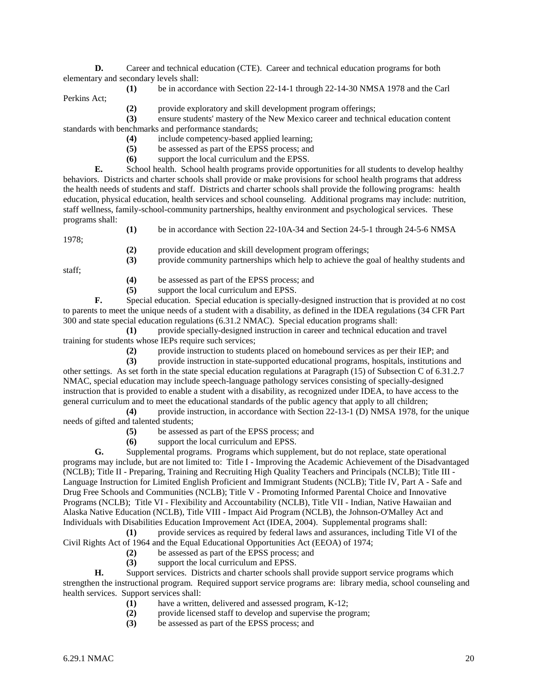**D.** Career and technical education (CTE). Career and technical education programs for both elementary and secondary levels shall:

**(1)** be in accordance with Section 22-14-1 through 22-14-30 NMSA 1978 and the Carl

**(2)** provide exploratory and skill development program offerings;

**(3)** ensure students' mastery of the New Mexico career and technical education content standards with benchmarks and performance standards;

- **(4)** include competency-based applied learning;
- **(5)** be assessed as part of the EPSS process; and
- **(6)** support the local curriculum and the EPSS.

**E.** School health. School health programs provide opportunities for all students to develop healthy behaviors. Districts and charter schools shall provide or make provisions for school health programs that address the health needs of students and staff. Districts and charter schools shall provide the following programs: health education, physical education, health services and school counseling. Additional programs may include: nutrition, staff wellness, family-school-community partnerships, healthy environment and psychological services. These programs shall:

1978;

Perkins Act;

- 
- **(2)** provide education and skill development program offerings; **(3)** provide community partnerships which help to achieve the goal of healthy students and

**(1)** be in accordance with Section 22-10A-34 and Section 24-5-1 through 24-5-6 NMSA

staff;

**(4)** be assessed as part of the EPSS process; and

**(5)** support the local curriculum and EPSS.

**F.** Special education. Special education is specially-designed instruction that is provided at no cost to parents to meet the unique needs of a student with a disability, as defined in the IDEA regulations (34 CFR Part 300 and state special education regulations (6.31.2 NMAC). Special education programs shall:

**(1)** provide specially-designed instruction in career and technical education and travel training for students whose IEPs require such services;

**(2)** provide instruction to students placed on homebound services as per their IEP; and

**(3)** provide instruction in state-supported educational programs, hospitals, institutions and other settings. As set forth in the state special education regulations at Paragraph (15) of Subsection C of 6.31.2.7 NMAC, special education may include speech-language pathology services consisting of specially-designed instruction that is provided to enable a student with a disability, as recognized under IDEA, to have access to the general curriculum and to meet the educational standards of the public agency that apply to all children;

**(4)** provide instruction, in accordance with Section 22-13-1 (D) NMSA 1978, for the unique needs of gifted and talented students;

**(5)** be assessed as part of the EPSS process; and

**(6)** support the local curriculum and EPSS.

**G.** Supplemental programs. Programs which supplement, but do not replace, state operational programs may include, but are not limited to: Title I - Improving the Academic Achievement of the Disadvantaged (NCLB); Title II - Preparing, Training and Recruiting High Quality Teachers and Principals (NCLB); Title III - Language Instruction for Limited English Proficient and Immigrant Students (NCLB); Title IV, Part A - Safe and Drug Free Schools and Communities (NCLB); Title V - Promoting Informed Parental Choice and Innovative Programs (NCLB); Title VI - Flexibility and Accountability (NCLB), Title VII - Indian, Native Hawaiian and Alaska Native Education (NCLB), Title VIII - Impact Aid Program (NCLB), the Johnson-O'Malley Act and Individuals with Disabilities Education Improvement Act (IDEA, 2004). Supplemental programs shall:

**(1)** provide services as required by federal laws and assurances, including Title VI of the Civil Rights Act of 1964 and the Equal Educational Opportunities Act (EEOA) of 1974;

- **(2)** be assessed as part of the EPSS process; and
- **(3)** support the local curriculum and EPSS.

**H.** Support services. Districts and charter schools shall provide support service programs which strengthen the instructional program. Required support service programs are: library media, school counseling and health services. Support services shall:

- (1) have a written, delivered and assessed program, K-12;<br>(2) provide licensed staff to develop and supervise the pro-
- **(2)** provide licensed staff to develop and supervise the program;
- **(3)** be assessed as part of the EPSS process; and